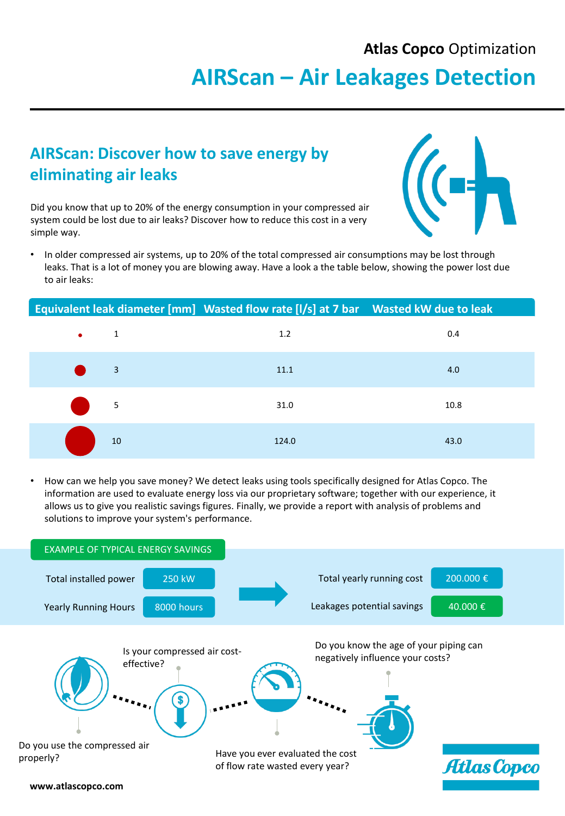#### **Atlas Copco** Optimization

# **AIRScan – Air Leakages Detection**

### **AIRScan: Discover how to save energy by eliminating air leaks**

Did you know that up to 20% of the energy consumption in your compressed air system could be lost due to air leaks? Discover how to reduce this cost in a very simple way.



• In older compressed air systems, up to 20% of the total compressed air consumptions may be lost through leaks. That is a lot of money you are blowing away. Have a look a the table below, showing the power lost due to air leaks:

#### **Equivalent leak diameter [mm] Wasted flow rate [l/s] at 7 bar Wasted kW due to leak**



• How can we help you save money? We detect leaks using tools specifically designed for Atlas Copco. The information are used to evaluate energy loss via our proprietary software; together with our experience, it allows us to give you realistic savings figures. Finally, we provide a report with analysis of problems and solutions to improve your system's performance.